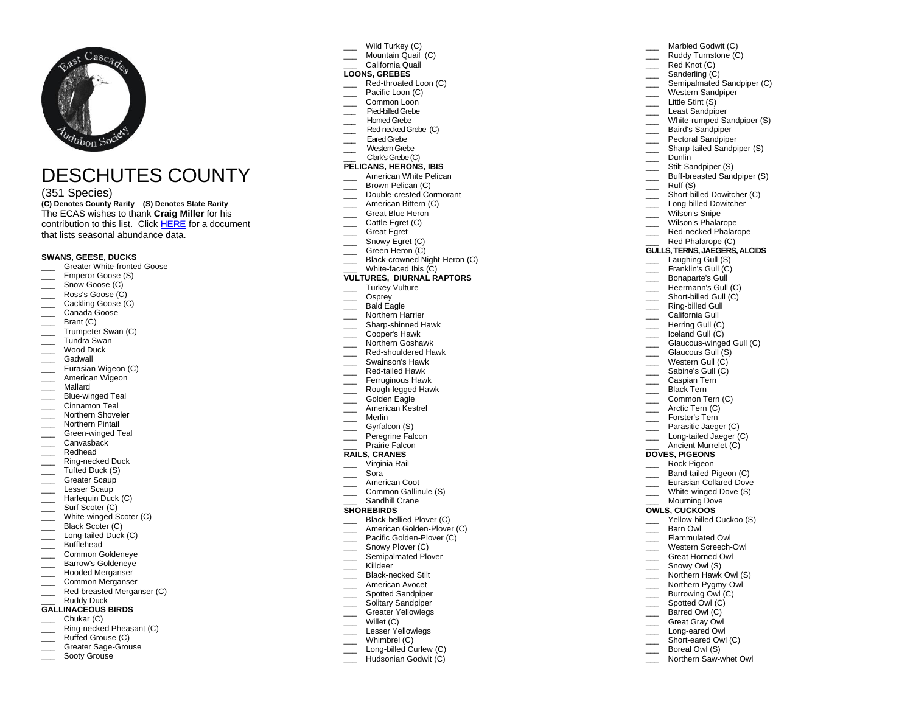

# DESCHUTES COUNTY

# (351 Species)

**(C) Denotes County Rarity (S) Denotes State Rarity**  The ECAS wishes to thank **Craig Miller** for his contribution to this list. Click [HERE](https://e8118311-379c-4750-b2f8-1e2827e9cc68.filesusr.com/ugd/2c5973_74e81ca95f98402d9e387f4c515f944c.pdf) for a document that lists seasonal abundance data.

## **SWANS, GEESE, DUCKS**

- Greater White-fronted Goose
- \_\_\_ Emperor Goose (S)
- \_\_\_ Snow Goose (C)
- \_\_\_ Ross's Goose (C)
- \_\_\_ Cackling Goose (C)
- \_\_\_ Canada Goose
- $\qquad \qquad$  Brant (C)
- \_\_\_ Trumpeter Swan (C)
- \_\_\_ Tundra Swan
- Wood Duck
- Gadwall
- \_\_\_ Eurasian Wigeon (C)
- \_\_\_<br>
American Wigeon
- \_\_\_ Mallard
- Blue-winged Teal
- Cinnamon Teal
- \_\_\_ Northern Shoveler
- \_\_\_ Northern Pintail
- \_\_\_ Green-winged Teal
- Canvasback
- \_\_\_ Redhead
- \_\_\_ Ring-necked Duck
- \_\_\_ Tufted Duck (S)
- \_\_\_ Greater Scaup
- \_\_\_ Lesser Scaup
- \_\_\_ Harlequin Duck (C)
- Surf Scoter (C)
- White-winged Scoter (C)
- Black Scoter (C)
- \_\_\_ Long-tailed Duck (C)
- \_\_\_ Bufflehead
- \_\_\_ Common Goldeneye
- \_\_\_ Barrow's Goldeneye Hooded Merganser
- \_\_\_ Common Merganser
- \_\_\_ Red-breasted Merganser (C)
- Ruddy Duck

#### **GALLINACEOUS BIRDS** Chukar (C)

- 
- \_\_\_ Ring-necked Pheasant (C)
- Ruffed Grouse (C)
- Greater Sage-Grouse
- Sooty Grouse
- Wild Turkey (C)
- Mountain Quail (C) \_\_\_ California Quail

# **LOONS, GREBES**

Red-throated Loon (C)

Marbled Godwit (C) Ruddy Turnstone (C) Red Knot (C) \_\_\_\_\_\_ Sanderling (C)

\_\_\_ Little Stint (S) \_\_\_ Least Sandpiper

> \_\_\_ Dunlin Stilt Sandpiper (S) Buff-breasted Sandpiper (S)

Ruff (S)

**DOVES, PIGEONS** \_\_\_ Rock Pigeon Band-tailed Pigeon (C) \_\_\_ Eurasian Collared-Dove \_\_\_\_ White-winged Dove (S) Mourning Dove **OWLS, CUCKOOS**

\_\_\_ Barn Owl Flammulated Owl \_\_\_ Western Screech-Owl Great Horned Owl Snowy Owl (S) Northern Hawk Owl (S) Northern Pygmy-Owl \_\_\_ Burrowing Owl (C) \_\_\_\_\_ Spotted Owl (C) Barred Owl (C) Great Gray Owl Long-eared Owl Short-eared Owl (C) Boreal Owl (S) Northern Saw-whet Owl

\_\_\_ Baird's Sandpiper \_\_\_ Pectoral Sandpiper \_\_\_ Sharp-tailed Sandpiper (S)

Semipalmated Sandpiper (C) \_\_\_ Western Sandpiper

White-rumped Sandpiper (S)

Short-billed Dowitcher (C) Long-billed Dowitcher Wilson's Snipe Wilson's Phalarope Red-necked Phalarope Red Phalarope (C) **GULLS, TERNS, JAEGERS, ALCIDS** Laughing Gull (S) Franklin's Gull (C) Bonaparte's Gull Heermann's Gull (C) Short-billed Gull (C) Ring-billed Gull \_\_\_ California Gull \_\_\_ Herring Gull (C) \_\_\_ Iceland Gull (C)

Glaucous-winged Gull (C) Glaucous Gull (S) Western Gull (C) Sabine's Gull (C) \_\_\_ Caspian Tern Black Tern Common Tern (C) Arctic Tern (C) \_\_\_ Forster's Tern **Parasitic Jaeger (C)** Long-tailed Jaeger (C) Ancient Murrelet (C)

Yellow-billed Cuckoo (S)

- Pacific Loon (C)
- Common Loon
- **\_\_\_** Pied-billed Grebe
- Homed Grebe
- Red-necked Grebe (C)
- Eared Grebe
- \_\_\_ Western Grebe
- Clark's Grebe (C)

#### **PELICANS, HERONS, IBIS** American White Pelican

- Brown Pelican (C)
- \_\_\_ Double-crested Cormorant
- American Bittern (C)
- Great Blue Heron
- Cattle Egret (C)
- \_\_\_ Great Egret
- Snowy Egret (C)
- Creen Heron (C)
- \_\_\_ Black-crowned Night-Heron (C)
- White-faced Ibis (C)

# **VULTURES, DIURNAL RAPTORS**

- \_\_\_ Turkey Vulture
- Osprey
- \_\_\_\_ Bald Eagle
- Northern Harrier
- \_\_\_\_ Sharp-shinned Hawk
- \_\_\_ Cooper's Hawk
- \_\_\_ Northern Goshawk
- \_\_\_ Red-shouldered Hawk
- \_\_\_ Swainson's Hawk
- \_\_\_ Red-tailed Hawk
- Ferruginous Hawk
- \_\_\_ Rough-legged Hawk
- Golden Eagle
- \_\_\_ American Kestrel \_\_\_ Merlin
- 
- $\equiv$  Gyrfalcon (S) \_\_\_ Peregrine Falcon
- Prairie Falcon
- **RAILS, CRANES**
- \_\_\_ Virginia Rail
- \_\_\_ Sora
- \_\_\_\_ American Coot
- \_\_\_\_ Common Gallinule (S)
- Sandhill Crane

## **SHOREBIRDS**

- Black-bellied Plover (C)
- American Golden-Plover (C)
- Pacific Golden-Plover (C)
- Snowy Plover (C) \_\_\_ Killdeer
- Semipalmated Plover Black-necked Stilt

American Avocet Spotted Sandpiper Solitary Sandpiper Greater Yellowlegs Willet (C) Lesser Yellowlegs Whimbrel (C) Long-billed Curlew (C) Hudsonian Godwit (C)